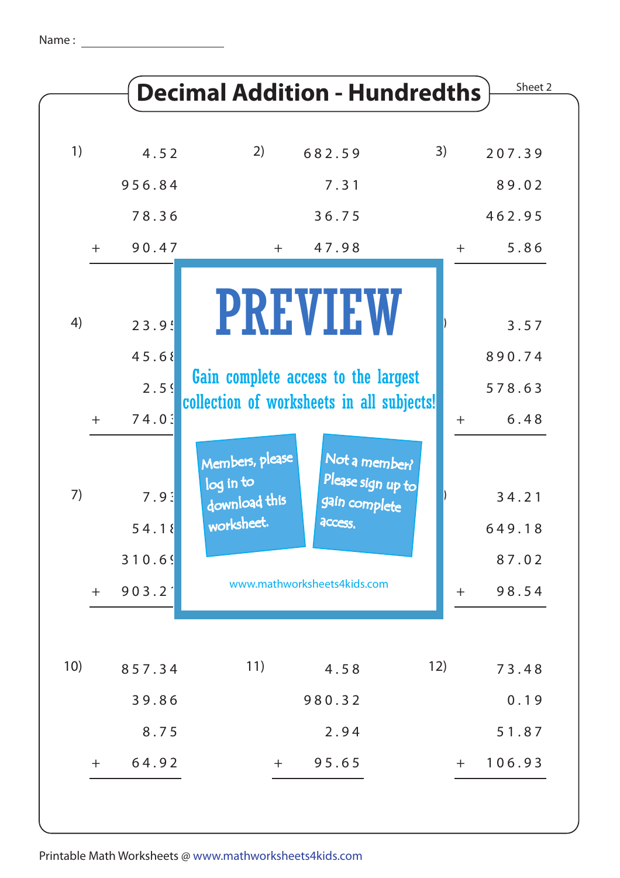|     |     |                         |                                                                                  | <b>Decimal Addition - Hundredths</b>                           |     | Sheet 2                  |
|-----|-----|-------------------------|----------------------------------------------------------------------------------|----------------------------------------------------------------|-----|--------------------------|
|     |     |                         |                                                                                  |                                                                |     |                          |
| 1)  |     | 4.52                    | 2)                                                                               | 682.59                                                         | 3)  | 207.39                   |
|     |     | 956.84                  |                                                                                  | 7.31                                                           |     | 89.02                    |
|     |     | 78.36                   |                                                                                  | 36.75                                                          |     | 462.95                   |
|     | $+$ | 90.47                   | $+$                                                                              | 47.98                                                          | $+$ | 5.86                     |
| 4)  |     | 23.9!                   |                                                                                  | <b>PREVIEW</b>                                                 |     | 3.57                     |
|     |     | 45.68                   |                                                                                  |                                                                |     | 890.74                   |
|     |     | 2.59                    | Gain complete access to the largest<br>collection of worksheets in all subjects! |                                                                |     | 578.63                   |
|     | $+$ | 74.0:                   |                                                                                  |                                                                | $+$ | 6.48                     |
| 7)  |     | 7.9:<br>54.18<br>310.69 | Members, please<br>log in to<br>download this<br>worksheet.                      | Not a member?<br>Please sign up to<br>gain complete<br>access. |     | 34.21<br>649.18<br>87.02 |
|     | $+$ | 903.2                   |                                                                                  | www.mathworksheets4kids.com                                    | $+$ | 98.54                    |
|     |     |                         |                                                                                  |                                                                |     |                          |
| 10) |     | 857.34                  | 11)                                                                              | 4.58                                                           | 12) | 73.48                    |
|     |     | 39.86                   |                                                                                  | 980.32                                                         |     | 0.19                     |
|     |     | 8.75                    |                                                                                  | 2.94                                                           |     | 51.87                    |
|     | $+$ | 64.92                   | $+$                                                                              | 95.65                                                          | $+$ | 106.93                   |